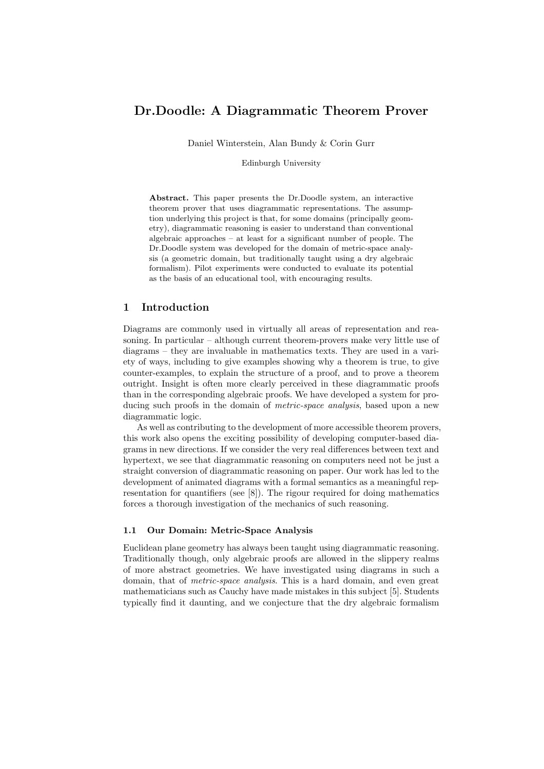# Dr.Doodle: A Diagrammatic Theorem Prover

Daniel Winterstein, Alan Bundy & Corin Gurr

Edinburgh University

Abstract. This paper presents the Dr.Doodle system, an interactive theorem prover that uses diagrammatic representations. The assumption underlying this project is that, for some domains (principally geometry), diagrammatic reasoning is easier to understand than conventional algebraic approaches – at least for a significant number of people. The Dr.Doodle system was developed for the domain of metric-space analysis (a geometric domain, but traditionally taught using a dry algebraic formalism). Pilot experiments were conducted to evaluate its potential as the basis of an educational tool, with encouraging results.

### 1 Introduction

Diagrams are commonly used in virtually all areas of representation and reasoning. In particular – although current theorem-provers make very little use of diagrams – they are invaluable in mathematics texts. They are used in a variety of ways, including to give examples showing why a theorem is true, to give counter-examples, to explain the structure of a proof, and to prove a theorem outright. Insight is often more clearly perceived in these diagrammatic proofs than in the corresponding algebraic proofs. We have developed a system for producing such proofs in the domain of *metric-space analysis*, based upon a new diagrammatic logic.

As well as contributing to the development of more accessible theorem provers, this work also opens the exciting possibility of developing computer-based diagrams in new directions. If we consider the very real differences between text and hypertext, we see that diagrammatic reasoning on computers need not be just a straight conversion of diagrammatic reasoning on paper. Our work has led to the development of animated diagrams with a formal semantics as a meaningful representation for quantifiers (see [8]). The rigour required for doing mathematics forces a thorough investigation of the mechanics of such reasoning.

#### 1.1 Our Domain: Metric-Space Analysis

Euclidean plane geometry has always been taught using diagrammatic reasoning. Traditionally though, only algebraic proofs are allowed in the slippery realms of more abstract geometries. We have investigated using diagrams in such a domain, that of *metric-space analysis*. This is a hard domain, and even great mathematicians such as Cauchy have made mistakes in this subject [5]. Students typically find it daunting, and we conjecture that the dry algebraic formalism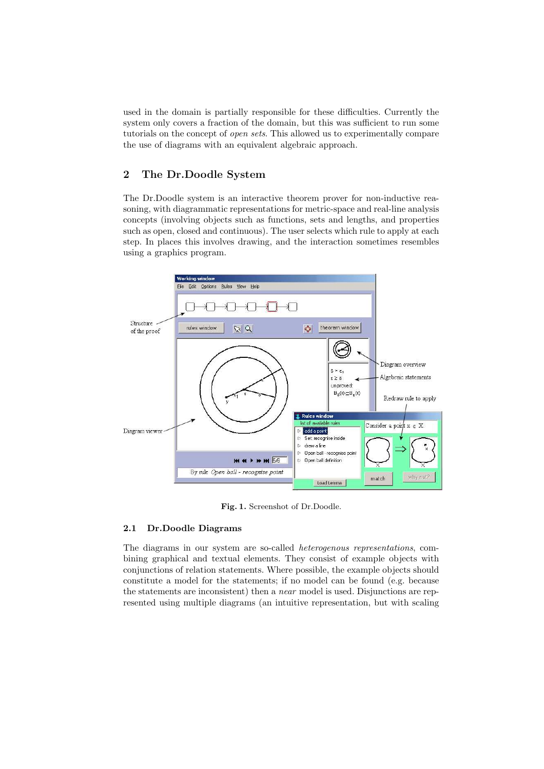used in the domain is partially responsible for these difficulties. Currently the system only covers a fraction of the domain, but this was sufficient to run some tutorials on the concept of open sets. This allowed us to experimentally compare the use of diagrams with an equivalent algebraic approach.

# 2 The Dr.Doodle System

The Dr.Doodle system is an interactive theorem prover for non-inductive reasoning, with diagrammatic representations for metric-space and real-line analysis concepts (involving objects such as functions, sets and lengths, and properties such as open, closed and continuous). The user selects which rule to apply at each step. In places this involves drawing, and the interaction sometimes resembles using a graphics program.



Fig. 1. Screenshot of Dr.Doodle.

#### 2.1 Dr.Doodle Diagrams

The diagrams in our system are so-called heterogenous representations, combining graphical and textual elements. They consist of example objects with conjunctions of relation statements. Where possible, the example objects should constitute a model for the statements; if no model can be found (e.g. because the statements are inconsistent) then a near model is used. Disjunctions are represented using multiple diagrams (an intuitive representation, but with scaling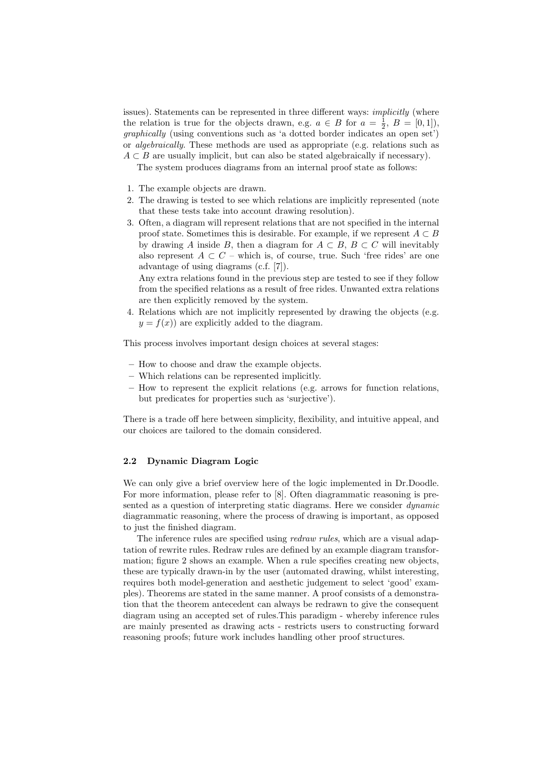issues). Statements can be represented in three different ways: implicitly (where the relation is true for the objects drawn, e.g.  $a \in B$  for  $a = \frac{1}{2}$ ,  $B = [0, 1]$ , graphically (using conventions such as 'a dotted border indicates an open set') or algebraically. These methods are used as appropriate (e.g. relations such as  $A \subset B$  are usually implicit, but can also be stated algebraically if necessary).

The system produces diagrams from an internal proof state as follows:

- 1. The example objects are drawn.
- 2. The drawing is tested to see which relations are implicitly represented (note that these tests take into account drawing resolution).
- 3. Often, a diagram will represent relations that are not specified in the internal proof state. Sometimes this is desirable. For example, if we represent  $A \subset B$ by drawing A inside B, then a diagram for  $A \subset B$ ,  $B \subset C$  will inevitably also represent  $A \subset C$  – which is, of course, true. Such 'free rides' are one advantage of using diagrams (c.f. [7]).

Any extra relations found in the previous step are tested to see if they follow from the specified relations as a result of free rides. Unwanted extra relations are then explicitly removed by the system.

4. Relations which are not implicitly represented by drawing the objects (e.g.  $y = f(x)$  are explicitly added to the diagram.

This process involves important design choices at several stages:

- How to choose and draw the example objects.
- Which relations can be represented implicitly.
- How to represent the explicit relations (e.g. arrows for function relations, but predicates for properties such as 'surjective').

There is a trade off here between simplicity, flexibility, and intuitive appeal, and our choices are tailored to the domain considered.

#### 2.2 Dynamic Diagram Logic

We can only give a brief overview here of the logic implemented in Dr.Doodle. For more information, please refer to [8]. Often diagrammatic reasoning is presented as a question of interpreting static diagrams. Here we consider *dynamic* diagrammatic reasoning, where the process of drawing is important, as opposed to just the finished diagram.

The inference rules are specified using *redraw rules*, which are a visual adaptation of rewrite rules. Redraw rules are defined by an example diagram transformation; figure 2 shows an example. When a rule specifies creating new objects, these are typically drawn-in by the user (automated drawing, whilst interesting, requires both model-generation and aesthetic judgement to select 'good' examples). Theorems are stated in the same manner. A proof consists of a demonstration that the theorem antecedent can always be redrawn to give the consequent diagram using an accepted set of rules.This paradigm - whereby inference rules are mainly presented as drawing acts - restricts users to constructing forward reasoning proofs; future work includes handling other proof structures.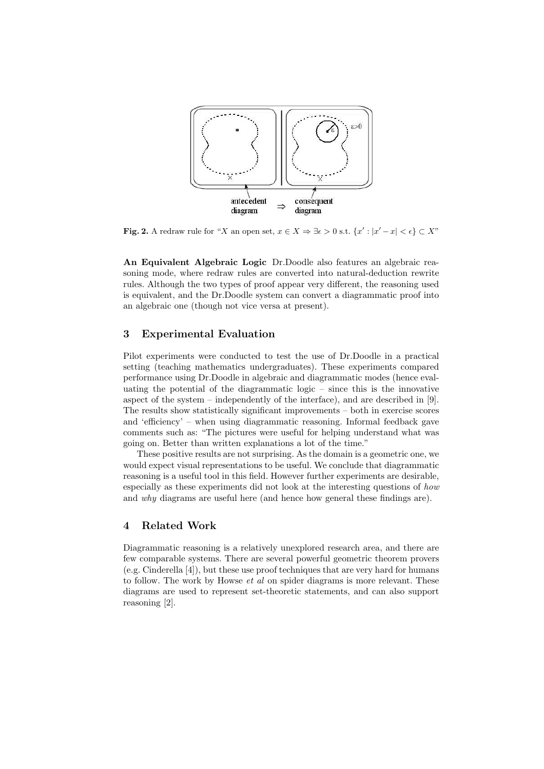

**Fig. 2.** A redraw rule for "X an open set,  $x \in X \Rightarrow \exists \epsilon > 0$  s.t.  $\{x' : |x' - x| < \epsilon\} \subset X$ "

An Equivalent Algebraic Logic Dr.Doodle also features an algebraic reasoning mode, where redraw rules are converted into natural-deduction rewrite rules. Although the two types of proof appear very different, the reasoning used is equivalent, and the Dr.Doodle system can convert a diagrammatic proof into an algebraic one (though not vice versa at present).

### 3 Experimental Evaluation

Pilot experiments were conducted to test the use of Dr.Doodle in a practical setting (teaching mathematics undergraduates). These experiments compared performance using Dr.Doodle in algebraic and diagrammatic modes (hence evaluating the potential of the diagrammatic logic – since this is the innovative aspect of the system – independently of the interface), and are described in [9]. The results show statistically significant improvements – both in exercise scores and 'efficiency' – when using diagrammatic reasoning. Informal feedback gave comments such as: "The pictures were useful for helping understand what was going on. Better than written explanations a lot of the time."

These positive results are not surprising. As the domain is a geometric one, we would expect visual representations to be useful. We conclude that diagrammatic reasoning is a useful tool in this field. However further experiments are desirable, especially as these experiments did not look at the interesting questions of how and why diagrams are useful here (and hence how general these findings are).

## 4 Related Work

Diagrammatic reasoning is a relatively unexplored research area, and there are few comparable systems. There are several powerful geometric theorem provers (e.g. Cinderella [4]), but these use proof techniques that are very hard for humans to follow. The work by Howse *et al* on spider diagrams is more relevant. These diagrams are used to represent set-theoretic statements, and can also support reasoning [2].